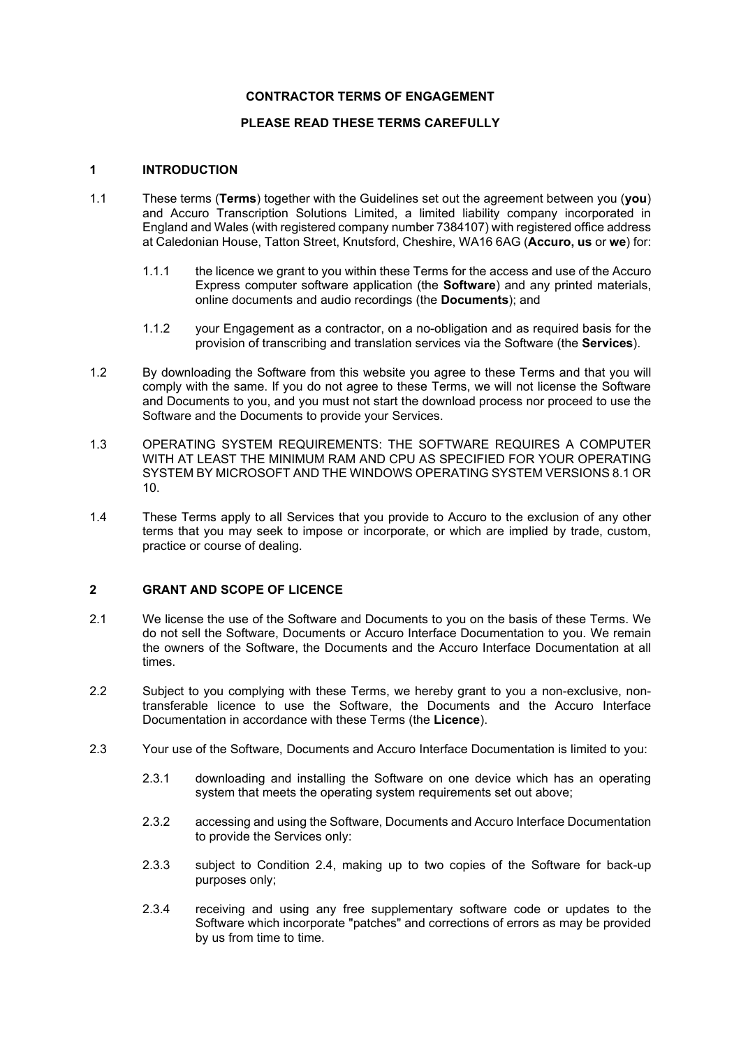### **CONTRACTOR TERMS OF ENGAGEMENT**

## **PLEASE READ THESE TERMS CAREFULLY**

### **1 INTRODUCTION**

- 1.1 These terms (**Terms**) together with the Guidelines set out the agreement between you (**you**) and Accuro Transcription Solutions Limited, a limited liability company incorporated in England and Wales (with registered company number 7384107) with registered office address at Caledonian House, Tatton Street, Knutsford, Cheshire, WA16 6AG (**Accuro, us** or **we**) for:
	- 1.1.1 the licence we grant to you within these Terms for the access and use of the Accuro Express computer software application (the **Software**) and any printed materials, online documents and audio recordings (the **Documents**); and
	- 1.1.2 your Engagement as a contractor, on a no-obligation and as required basis for the provision of transcribing and translation services via the Software (the **Services**).
- 1.2 By downloading the Software from this website you agree to these Terms and that you will comply with the same. If you do not agree to these Terms, we will not license the Software and Documents to you, and you must not start the download process nor proceed to use the Software and the Documents to provide your Services.
- 1.3 OPERATING SYSTEM REQUIREMENTS: THE SOFTWARE REQUIRES A COMPUTER WITH AT LEAST THE MINIMUM RAM AND CPU AS SPECIFIED FOR YOUR OPERATING SYSTEM BY MICROSOFT AND THE WINDOWS OPERATING SYSTEM VERSIONS 8.1 OR 10.
- 1.4 These Terms apply to all Services that you provide to Accuro to the exclusion of any other terms that you may seek to impose or incorporate, or which are implied by trade, custom, practice or course of dealing.

### **2 GRANT AND SCOPE OF LICENCE**

- 2.1 We license the use of the Software and Documents to you on the basis of these Terms. We do not sell the Software, Documents or Accuro Interface Documentation to you. We remain the owners of the Software, the Documents and the Accuro Interface Documentation at all times.
- 2.2 Subject to you complying with these Terms, we hereby grant to you a non-exclusive, nontransferable licence to use the Software, the Documents and the Accuro Interface Documentation in accordance with these Terms (the **Licence**).
- 2.3 Your use of the Software, Documents and Accuro Interface Documentation is limited to you:
	- 2.3.1 downloading and installing the Software on one device which has an operating system that meets the operating system requirements set out above;
	- 2.3.2 accessing and using the Software, Documents and Accuro Interface Documentation to provide the Services only:
	- 2.3.3 subject to Condition 2.4, making up to two copies of the Software for back-up purposes only;
	- 2.3.4 receiving and using any free supplementary software code or updates to the Software which incorporate "patches" and corrections of errors as may be provided by us from time to time.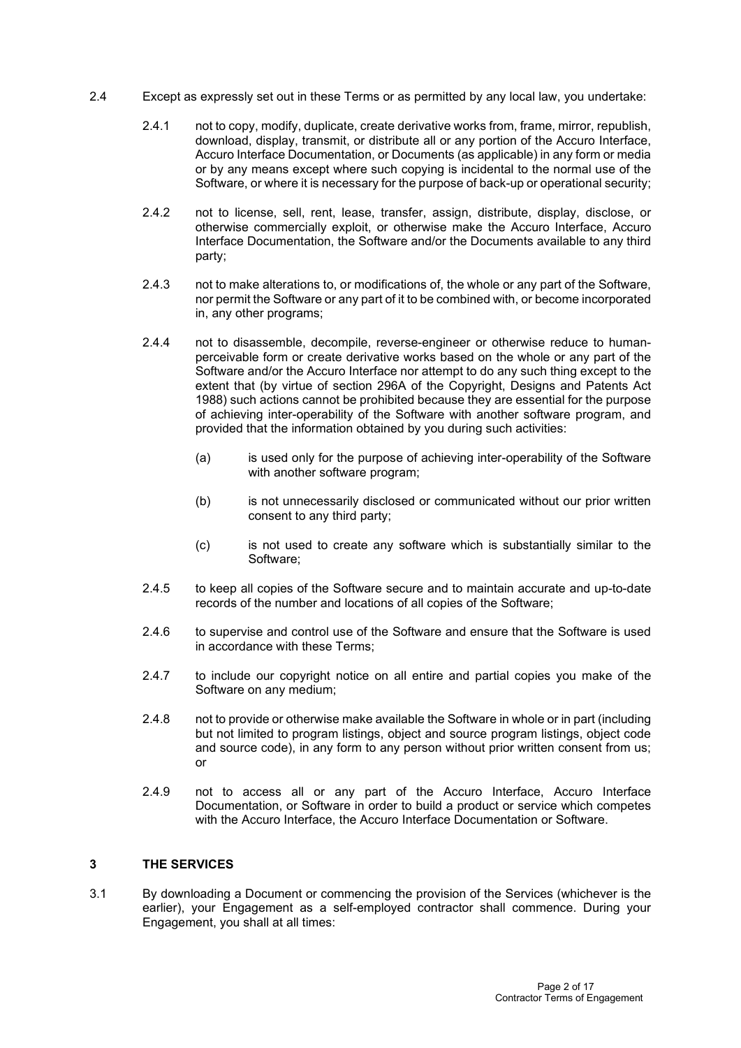- 2.4 Except as expressly set out in these Terms or as permitted by any local law, you undertake:
	- 2.4.1 not to copy, modify, duplicate, create derivative works from, frame, mirror, republish, download, display, transmit, or distribute all or any portion of the Accuro Interface, Accuro Interface Documentation, or Documents (as applicable) in any form or media or by any means except where such copying is incidental to the normal use of the Software, or where it is necessary for the purpose of back-up or operational security;
	- 2.4.2 not to license, sell, rent, lease, transfer, assign, distribute, display, disclose, or otherwise commercially exploit, or otherwise make the Accuro Interface, Accuro Interface Documentation, the Software and/or the Documents available to any third party;
	- 2.4.3 not to make alterations to, or modifications of, the whole or any part of the Software, nor permit the Software or any part of it to be combined with, or become incorporated in, any other programs;
	- 2.4.4 not to disassemble, decompile, reverse-engineer or otherwise reduce to humanperceivable form or create derivative works based on the whole or any part of the Software and/or the Accuro Interface nor attempt to do any such thing except to the extent that (by virtue of section 296A of the Copyright, Designs and Patents Act 1988) such actions cannot be prohibited because they are essential for the purpose of achieving inter-operability of the Software with another software program, and provided that the information obtained by you during such activities:
		- (a) is used only for the purpose of achieving inter-operability of the Software with another software program;
		- (b) is not unnecessarily disclosed or communicated without our prior written consent to any third party;
		- (c) is not used to create any software which is substantially similar to the Software;
	- 2.4.5 to keep all copies of the Software secure and to maintain accurate and up-to-date records of the number and locations of all copies of the Software;
	- 2.4.6 to supervise and control use of the Software and ensure that the Software is used in accordance with these Terms;
	- 2.4.7 to include our copyright notice on all entire and partial copies you make of the Software on any medium;
	- 2.4.8 not to provide or otherwise make available the Software in whole or in part (including but not limited to program listings, object and source program listings, object code and source code), in any form to any person without prior written consent from us; or
	- 2.4.9 not to access all or any part of the Accuro Interface, Accuro Interface Documentation, or Software in order to build a product or service which competes with the Accuro Interface, the Accuro Interface Documentation or Software.

## **3 THE SERVICES**

3.1 By downloading a Document or commencing the provision of the Services (whichever is the earlier), your Engagement as a self-employed contractor shall commence. During your Engagement, you shall at all times: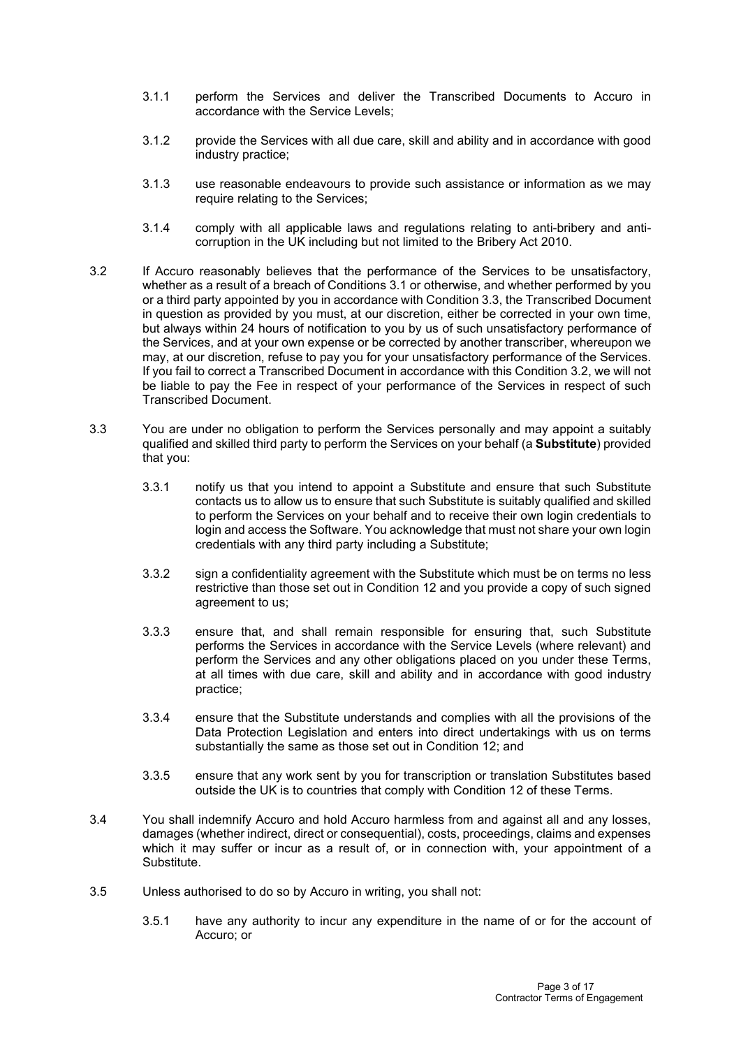- 3.1.1 perform the Services and deliver the Transcribed Documents to Accuro in accordance with the Service Levels;
- 3.1.2 provide the Services with all due care, skill and ability and in accordance with good industry practice;
- 3.1.3 use reasonable endeavours to provide such assistance or information as we may require relating to the Services;
- 3.1.4 comply with all applicable laws and regulations relating to anti-bribery and anticorruption in the UK including but not limited to the Bribery Act 2010.
- 3.2 If Accuro reasonably believes that the performance of the Services to be unsatisfactory, whether as a result of a breach of Conditions 3.1 or otherwise, and whether performed by you or a third party appointed by you in accordance with Condition 3.3, the Transcribed Document in question as provided by you must, at our discretion, either be corrected in your own time, but always within 24 hours of notification to you by us of such unsatisfactory performance of the Services, and at your own expense or be corrected by another transcriber, whereupon we may, at our discretion, refuse to pay you for your unsatisfactory performance of the Services. If you fail to correct a Transcribed Document in accordance with this Condition 3.2, we will not be liable to pay the Fee in respect of your performance of the Services in respect of such Transcribed Document.
- 3.3 You are under no obligation to perform the Services personally and may appoint a suitably qualified and skilled third party to perform the Services on your behalf (a **Substitute**) provided that you:
	- 3.3.1 notify us that you intend to appoint a Substitute and ensure that such Substitute contacts us to allow us to ensure that such Substitute is suitably qualified and skilled to perform the Services on your behalf and to receive their own login credentials to login and access the Software. You acknowledge that must not share your own login credentials with any third party including a Substitute;
	- 3.3.2 sign a confidentiality agreement with the Substitute which must be on terms no less restrictive than those set out in Condition 12 and you provide a copy of such signed agreement to us;
	- 3.3.3 ensure that, and shall remain responsible for ensuring that, such Substitute performs the Services in accordance with the Service Levels (where relevant) and perform the Services and any other obligations placed on you under these Terms, at all times with due care, skill and ability and in accordance with good industry practice;
	- 3.3.4 ensure that the Substitute understands and complies with all the provisions of the Data Protection Legislation and enters into direct undertakings with us on terms substantially the same as those set out in Condition 12; and
	- 3.3.5 ensure that any work sent by you for transcription or translation Substitutes based outside the UK is to countries that comply with Condition 12 of these Terms.
- 3.4 You shall indemnify Accuro and hold Accuro harmless from and against all and any losses, damages (whether indirect, direct or consequential), costs, proceedings, claims and expenses which it may suffer or incur as a result of, or in connection with, your appointment of a Substitute.
- 3.5 Unless authorised to do so by Accuro in writing, you shall not:
	- 3.5.1 have any authority to incur any expenditure in the name of or for the account of Accuro; or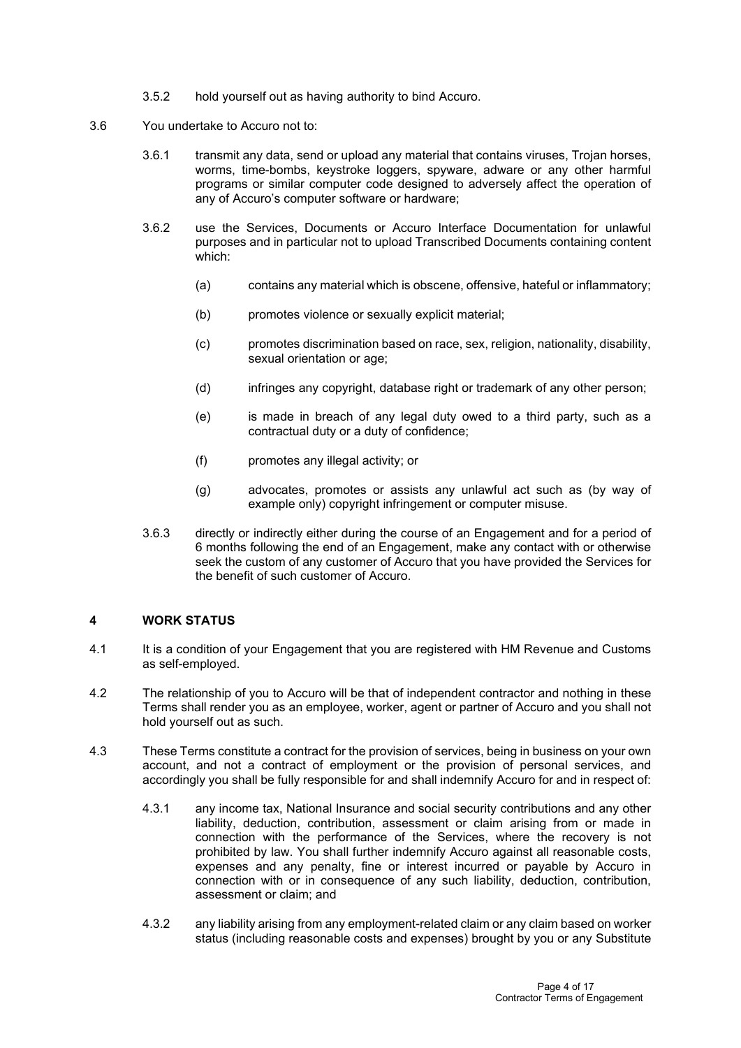- 3.5.2 hold yourself out as having authority to bind Accuro.
- 3.6 You undertake to Accuro not to:
	- 3.6.1 transmit any data, send or upload any material that contains viruses, Trojan horses, worms, time-bombs, keystroke loggers, spyware, adware or any other harmful programs or similar computer code designed to adversely affect the operation of any of Accuro's computer software or hardware;
	- 3.6.2 use the Services, Documents or Accuro Interface Documentation for unlawful purposes and in particular not to upload Transcribed Documents containing content which:
		- (a) contains any material which is obscene, offensive, hateful or inflammatory;
		- (b) promotes violence or sexually explicit material;
		- (c) promotes discrimination based on race, sex, religion, nationality, disability, sexual orientation or age;
		- (d) infringes any copyright, database right or trademark of any other person;
		- (e) is made in breach of any legal duty owed to a third party, such as a contractual duty or a duty of confidence;
		- (f) promotes any illegal activity; or
		- (g) advocates, promotes or assists any unlawful act such as (by way of example only) copyright infringement or computer misuse.
	- 3.6.3 directly or indirectly either during the course of an Engagement and for a period of 6 months following the end of an Engagement, make any contact with or otherwise seek the custom of any customer of Accuro that you have provided the Services for the benefit of such customer of Accuro.

## **4 WORK STATUS**

- 4.1 It is a condition of your Engagement that you are registered with HM Revenue and Customs as self-employed.
- 4.2 The relationship of you to Accuro will be that of independent contractor and nothing in these Terms shall render you as an employee, worker, agent or partner of Accuro and you shall not hold yourself out as such.
- 4.3 These Terms constitute a contract for the provision of services, being in business on your own account, and not a contract of employment or the provision of personal services, and accordingly you shall be fully responsible for and shall indemnify Accuro for and in respect of:
	- 4.3.1 any income tax, National Insurance and social security contributions and any other liability, deduction, contribution, assessment or claim arising from or made in connection with the performance of the Services, where the recovery is not prohibited by law. You shall further indemnify Accuro against all reasonable costs, expenses and any penalty, fine or interest incurred or payable by Accuro in connection with or in consequence of any such liability, deduction, contribution, assessment or claim; and
	- 4.3.2 any liability arising from any employment-related claim or any claim based on worker status (including reasonable costs and expenses) brought by you or any Substitute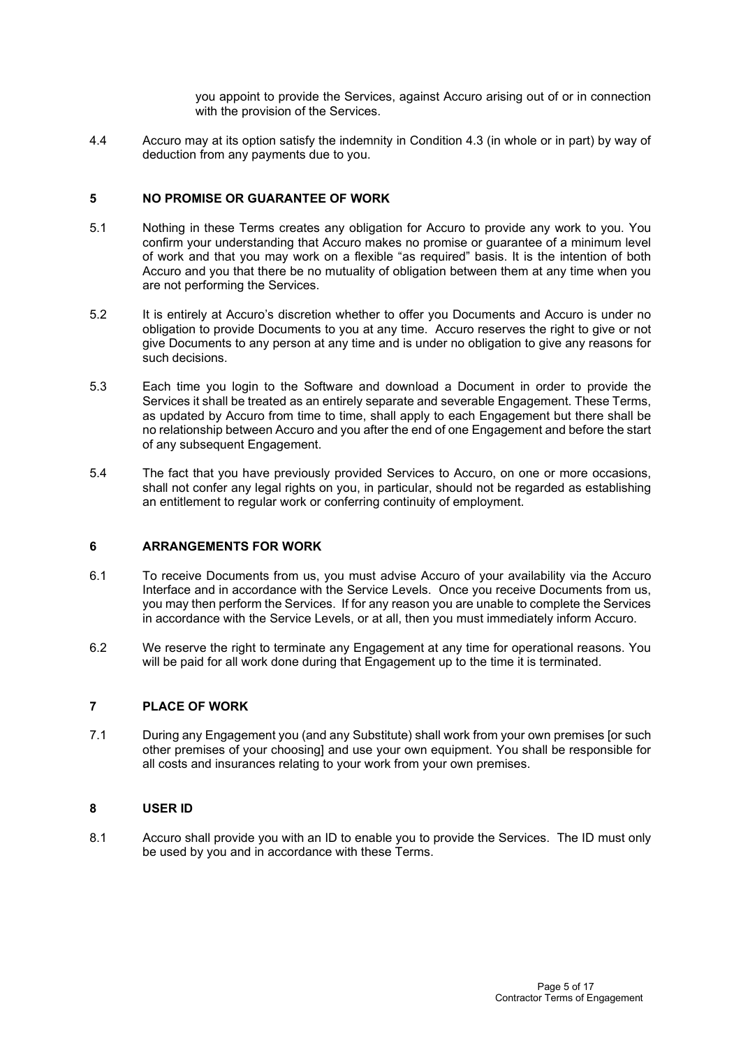you appoint to provide the Services, against Accuro arising out of or in connection with the provision of the Services.

4.4 Accuro may at its option satisfy the indemnity in Condition 4.3 (in whole or in part) by way of deduction from any payments due to you.

## **5 NO PROMISE OR GUARANTEE OF WORK**

- 5.1 Nothing in these Terms creates any obligation for Accuro to provide any work to you. You confirm your understanding that Accuro makes no promise or guarantee of a minimum level of work and that you may work on a flexible "as required" basis. It is the intention of both Accuro and you that there be no mutuality of obligation between them at any time when you are not performing the Services.
- 5.2 It is entirely at Accuro's discretion whether to offer you Documents and Accuro is under no obligation to provide Documents to you at any time. Accuro reserves the right to give or not give Documents to any person at any time and is under no obligation to give any reasons for such decisions.
- 5.3 Each time you login to the Software and download a Document in order to provide the Services it shall be treated as an entirely separate and severable Engagement. These Terms, as updated by Accuro from time to time, shall apply to each Engagement but there shall be no relationship between Accuro and you after the end of one Engagement and before the start of any subsequent Engagement.
- 5.4 The fact that you have previously provided Services to Accuro, on one or more occasions, shall not confer any legal rights on you, in particular, should not be regarded as establishing an entitlement to regular work or conferring continuity of employment.

### **6 ARRANGEMENTS FOR WORK**

- 6.1 To receive Documents from us, you must advise Accuro of your availability via the Accuro Interface and in accordance with the Service Levels. Once you receive Documents from us, you may then perform the Services. If for any reason you are unable to complete the Services in accordance with the Service Levels, or at all, then you must immediately inform Accuro.
- 6.2 We reserve the right to terminate any Engagement at any time for operational reasons. You will be paid for all work done during that Engagement up to the time it is terminated.

## **7 PLACE OF WORK**

7.1 During any Engagement you (and any Substitute) shall work from your own premises [or such other premises of your choosing] and use your own equipment. You shall be responsible for all costs and insurances relating to your work from your own premises.

## **8 USER ID**

8.1 Accuro shall provide you with an ID to enable you to provide the Services. The ID must only be used by you and in accordance with these Terms.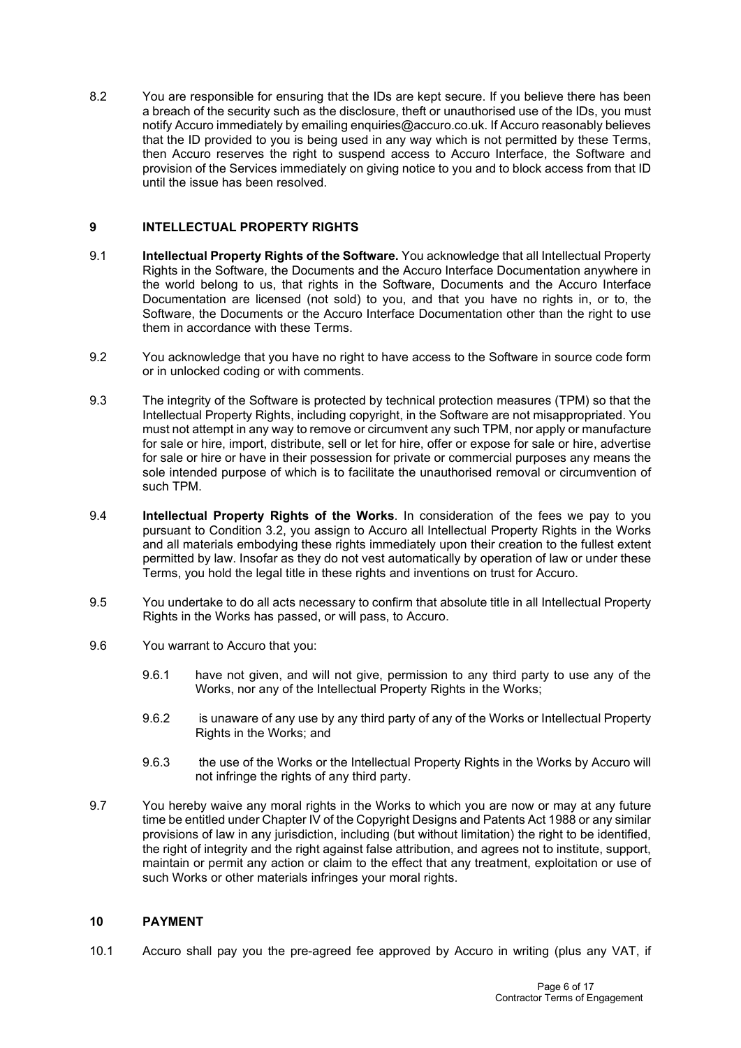8.2 You are responsible for ensuring that the IDs are kept secure. If you believe there has been a breach of the security such as the disclosure, theft or unauthorised use of the IDs, you must notify Accuro immediately by emailing enquiries@accuro.co.uk. If Accuro reasonably believes that the ID provided to you is being used in any way which is not permitted by these Terms, then Accuro reserves the right to suspend access to Accuro Interface, the Software and provision of the Services immediately on giving notice to you and to block access from that ID until the issue has been resolved.

## **9 INTELLECTUAL PROPERTY RIGHTS**

- 9.1 **Intellectual Property Rights of the Software.** You acknowledge that all Intellectual Property Rights in the Software, the Documents and the Accuro Interface Documentation anywhere in the world belong to us, that rights in the Software, Documents and the Accuro Interface Documentation are licensed (not sold) to you, and that you have no rights in, or to, the Software, the Documents or the Accuro Interface Documentation other than the right to use them in accordance with these Terms.
- 9.2 You acknowledge that you have no right to have access to the Software in source code form or in unlocked coding or with comments.
- 9.3 The integrity of the Software is protected by technical protection measures (TPM) so that the Intellectual Property Rights, including copyright, in the Software are not misappropriated. You must not attempt in any way to remove or circumvent any such TPM, nor apply or manufacture for sale or hire, import, distribute, sell or let for hire, offer or expose for sale or hire, advertise for sale or hire or have in their possession for private or commercial purposes any means the sole intended purpose of which is to facilitate the unauthorised removal or circumvention of such TPM.
- 9.4 **Intellectual Property Rights of the Works**. In consideration of the fees we pay to you pursuant to Condition 3.2, you assign to Accuro all Intellectual Property Rights in the Works and all materials embodying these rights immediately upon their creation to the fullest extent permitted by law. Insofar as they do not vest automatically by operation of law or under these Terms, you hold the legal title in these rights and inventions on trust for Accuro.
- 9.5 You undertake to do all acts necessary to confirm that absolute title in all Intellectual Property Rights in the Works has passed, or will pass, to Accuro.
- 9.6 You warrant to Accuro that you:
	- 9.6.1 have not given, and will not give, permission to any third party to use any of the Works, nor any of the Intellectual Property Rights in the Works;
	- 9.6.2 is unaware of any use by any third party of any of the Works or Intellectual Property Rights in the Works; and
	- 9.6.3 the use of the Works or the Intellectual Property Rights in the Works by Accuro will not infringe the rights of any third party.
- 9.7 You hereby waive any moral rights in the Works to which you are now or may at any future time be entitled under Chapter IV of the Copyright Designs and Patents Act 1988 or any similar provisions of law in any jurisdiction, including (but without limitation) the right to be identified, the right of integrity and the right against false attribution, and agrees not to institute, support, maintain or permit any action or claim to the effect that any treatment, exploitation or use of such Works or other materials infringes your moral rights.

## **10 PAYMENT**

10.1 Accuro shall pay you the pre-agreed fee approved by Accuro in writing (plus any VAT, if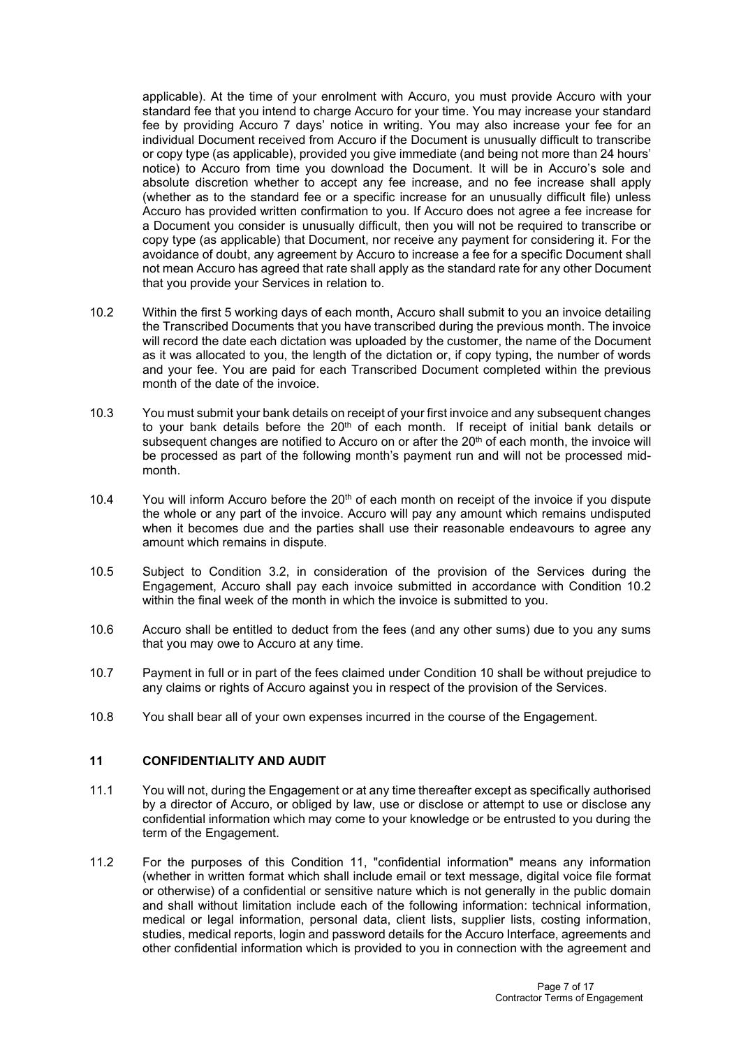applicable). At the time of your enrolment with Accuro, you must provide Accuro with your standard fee that you intend to charge Accuro for your time. You may increase your standard fee by providing Accuro 7 days' notice in writing. You may also increase your fee for an individual Document received from Accuro if the Document is unusually difficult to transcribe or copy type (as applicable), provided you give immediate (and being not more than 24 hours' notice) to Accuro from time you download the Document. It will be in Accuro's sole and absolute discretion whether to accept any fee increase, and no fee increase shall apply (whether as to the standard fee or a specific increase for an unusually difficult file) unless Accuro has provided written confirmation to you. If Accuro does not agree a fee increase for a Document you consider is unusually difficult, then you will not be required to transcribe or copy type (as applicable) that Document, nor receive any payment for considering it. For the avoidance of doubt, any agreement by Accuro to increase a fee for a specific Document shall not mean Accuro has agreed that rate shall apply as the standard rate for any other Document that you provide your Services in relation to.

- 10.2 Within the first 5 working days of each month, Accuro shall submit to you an invoice detailing the Transcribed Documents that you have transcribed during the previous month. The invoice will record the date each dictation was uploaded by the customer, the name of the Document as it was allocated to you, the length of the dictation or, if copy typing, the number of words and your fee. You are paid for each Transcribed Document completed within the previous month of the date of the invoice.
- 10.3 You must submit your bank details on receipt of your first invoice and any subsequent changes to your bank details before the 20<sup>th</sup> of each month. If receipt of initial bank details or subsequent changes are notified to Accuro on or after the 20<sup>th</sup> of each month, the invoice will be processed as part of the following month's payment run and will not be processed midmonth.
- 10.4 You will inform Accuro before the  $20<sup>th</sup>$  of each month on receipt of the invoice if you dispute the whole or any part of the invoice. Accuro will pay any amount which remains undisputed when it becomes due and the parties shall use their reasonable endeavours to agree any amount which remains in dispute.
- 10.5 Subject to Condition 3.2, in consideration of the provision of the Services during the Engagement, Accuro shall pay each invoice submitted in accordance with Condition 10.2 within the final week of the month in which the invoice is submitted to you.
- 10.6 Accuro shall be entitled to deduct from the fees (and any other sums) due to you any sums that you may owe to Accuro at any time.
- 10.7 Payment in full or in part of the fees claimed under Condition 10 shall be without prejudice to any claims or rights of Accuro against you in respect of the provision of the Services.
- 10.8 You shall bear all of your own expenses incurred in the course of the Engagement.

## **11 CONFIDENTIALITY AND AUDIT**

- 11.1 You will not, during the Engagement or at any time thereafter except as specifically authorised by a director of Accuro, or obliged by law, use or disclose or attempt to use or disclose any confidential information which may come to your knowledge or be entrusted to you during the term of the Engagement.
- 11.2 For the purposes of this Condition 11, "confidential information" means any information (whether in written format which shall include email or text message, digital voice file format or otherwise) of a confidential or sensitive nature which is not generally in the public domain and shall without limitation include each of the following information: technical information, medical or legal information, personal data, client lists, supplier lists, costing information, studies, medical reports, login and password details for the Accuro Interface, agreements and other confidential information which is provided to you in connection with the agreement and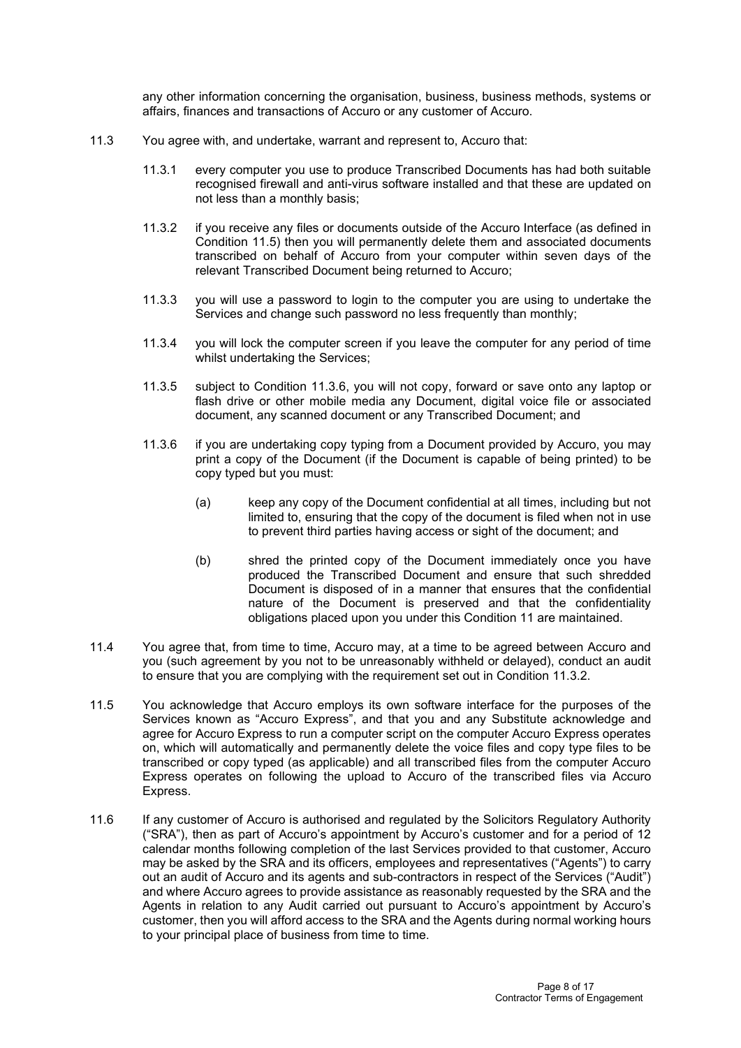any other information concerning the organisation, business, business methods, systems or affairs, finances and transactions of Accuro or any customer of Accuro.

- 11.3 You agree with, and undertake, warrant and represent to, Accuro that:
	- 11.3.1 every computer you use to produce Transcribed Documents has had both suitable recognised firewall and anti-virus software installed and that these are updated on not less than a monthly basis;
	- 11.3.2 if you receive any files or documents outside of the Accuro Interface (as defined in Condition 11.5) then you will permanently delete them and associated documents transcribed on behalf of Accuro from your computer within seven days of the relevant Transcribed Document being returned to Accuro;
	- 11.3.3 you will use a password to login to the computer you are using to undertake the Services and change such password no less frequently than monthly;
	- 11.3.4 you will lock the computer screen if you leave the computer for any period of time whilst undertaking the Services;
	- 11.3.5 subject to Condition 11.3.6, you will not copy, forward or save onto any laptop or flash drive or other mobile media any Document, digital voice file or associated document, any scanned document or any Transcribed Document; and
	- 11.3.6 if you are undertaking copy typing from a Document provided by Accuro, you may print a copy of the Document (if the Document is capable of being printed) to be copy typed but you must:
		- (a) keep any copy of the Document confidential at all times, including but not limited to, ensuring that the copy of the document is filed when not in use to prevent third parties having access or sight of the document; and
		- (b) shred the printed copy of the Document immediately once you have produced the Transcribed Document and ensure that such shredded Document is disposed of in a manner that ensures that the confidential nature of the Document is preserved and that the confidentiality obligations placed upon you under this Condition 11 are maintained.
- 11.4 You agree that, from time to time, Accuro may, at a time to be agreed between Accuro and you (such agreement by you not to be unreasonably withheld or delayed), conduct an audit to ensure that you are complying with the requirement set out in Condition 11.3.2.
- 11.5 You acknowledge that Accuro employs its own software interface for the purposes of the Services known as "Accuro Express", and that you and any Substitute acknowledge and agree for Accuro Express to run a computer script on the computer Accuro Express operates on, which will automatically and permanently delete the voice files and copy type files to be transcribed or copy typed (as applicable) and all transcribed files from the computer Accuro Express operates on following the upload to Accuro of the transcribed files via Accuro Express.
- 11.6 If any customer of Accuro is authorised and regulated by the Solicitors Regulatory Authority ("SRA"), then as part of Accuro's appointment by Accuro's customer and for a period of 12 calendar months following completion of the last Services provided to that customer, Accuro may be asked by the SRA and its officers, employees and representatives ("Agents") to carry out an audit of Accuro and its agents and sub-contractors in respect of the Services ("Audit") and where Accuro agrees to provide assistance as reasonably requested by the SRA and the Agents in relation to any Audit carried out pursuant to Accuro's appointment by Accuro's customer, then you will afford access to the SRA and the Agents during normal working hours to your principal place of business from time to time.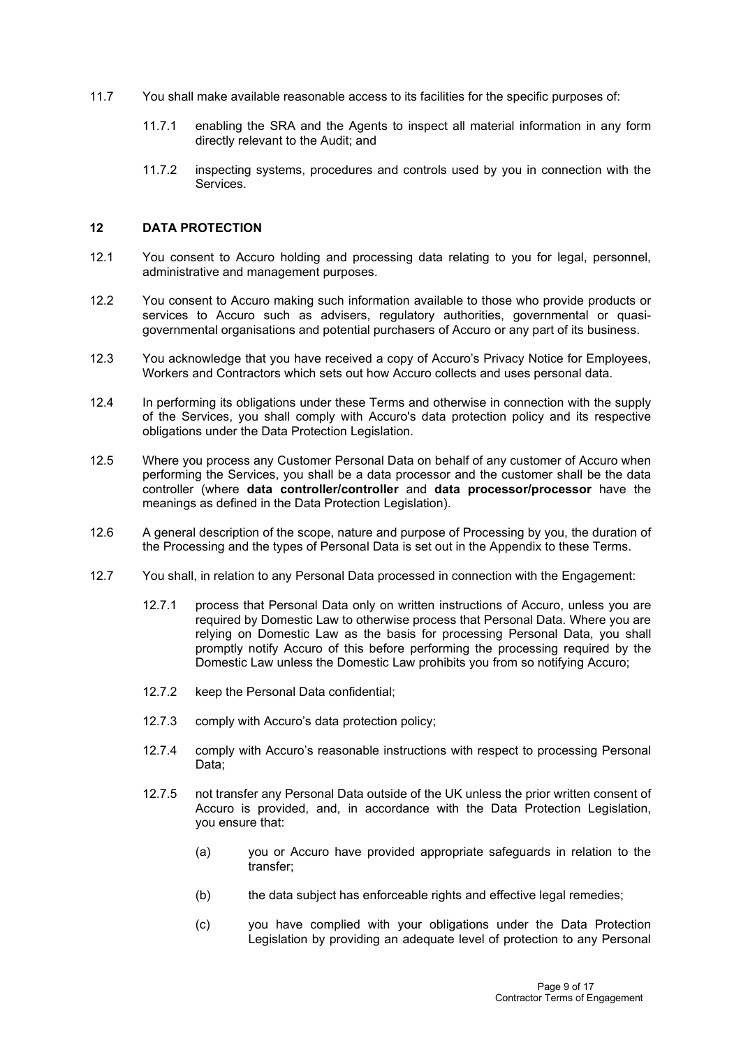- 11.7 You shall make available reasonable access to its facilities for the specific purposes of:
	- 11.7.1 enabling the SRA and the Agents to inspect all material information in any form directly relevant to the Audit; and
	- 11.7.2 inspecting systems, procedures and controls used by you in connection with the Services.

#### **12 DATA PROTECTION**

- 12.1 You consent to Accuro holding and processing data relating to you for legal, personnel, administrative and management purposes.
- 12.2 You consent to Accuro making such information available to those who provide products or services to Accuro such as advisers, regulatory authorities, governmental or quasigovernmental organisations and potential purchasers of Accuro or any part of its business.
- 12.3 You acknowledge that you have received a copy of Accuro's Privacy Notice for Employees, Workers and Contractors which sets out how Accuro collects and uses personal data.
- 12.4 In performing its obligations under these Terms and otherwise in connection with the supply of the Services, you shall comply with Accuro's data protection policy and its respective obligations under the Data Protection Legislation.
- 12.5 Where you process any Customer Personal Data on behalf of any customer of Accuro when performing the Services, you shall be a data processor and the customer shall be the data controller (where **data controller/controller** and **data processor/processor** have the meanings as defined in the Data Protection Legislation).
- 12.6 A general description of the scope, nature and purpose of Processing by you, the duration of the Processing and the types of Personal Data is set out in the Appendix to these Terms.
- 12.7 You shall, in relation to any Personal Data processed in connection with the Engagement:
	- 12.7.1 process that Personal Data only on written instructions of Accuro, unless you are required by Domestic Law to otherwise process that Personal Data. Where you are relying on Domestic Law as the basis for processing Personal Data, you shall promptly notify Accuro of this before performing the processing required by the Domestic Law unless the Domestic Law prohibits you from so notifying Accuro;
	- 12.7.2 keep the Personal Data confidential;
	- 12.7.3 comply with Accuro's data protection policy;
	- 12.7.4 comply with Accuro's reasonable instructions with respect to processing Personal Data;
	- 12.7.5 not transfer any Personal Data outside of the UK unless the prior written consent of Accuro is provided, and, in accordance with the Data Protection Legislation, you ensure that:
		- (a) you or Accuro have provided appropriate safeguards in relation to the transfer;
		- (b) the data subject has enforceable rights and effective legal remedies;
		- (c) you have complied with your obligations under the Data Protection Legislation by providing an adequate level of protection to any Personal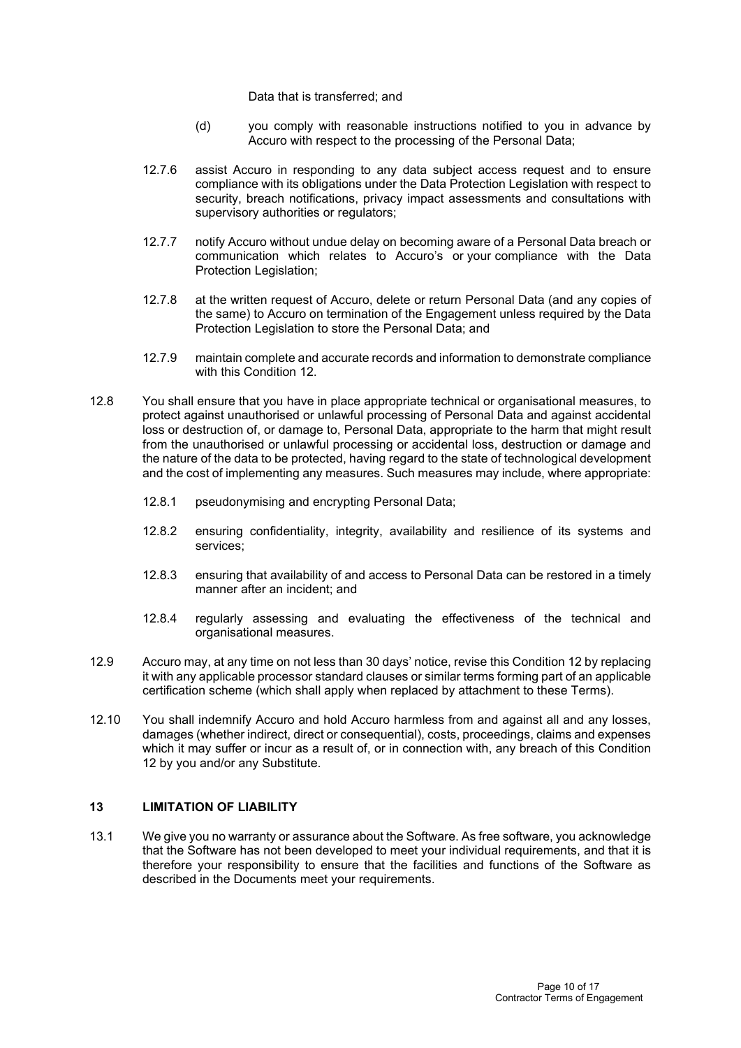Data that is transferred; and

- (d) you comply with reasonable instructions notified to you in advance by Accuro with respect to the processing of the Personal Data;
- 12.7.6 assist Accuro in responding to any data subject access request and to ensure compliance with its obligations under the Data Protection Legislation with respect to security, breach notifications, privacy impact assessments and consultations with supervisory authorities or regulators;
- 12.7.7 notify Accuro without undue delay on becoming aware of a Personal Data breach or communication which relates to Accuro's or your compliance with the Data Protection Legislation;
- 12.7.8 at the written request of Accuro, delete or return Personal Data (and any copies of the same) to Accuro on termination of the Engagement unless required by the Data Protection Legislation to store the Personal Data; and
- 12.7.9 maintain complete and accurate records and information to demonstrate compliance with this Condition 12.
- 12.8 You shall ensure that you have in place appropriate technical or organisational measures, to protect against unauthorised or unlawful processing of Personal Data and against accidental loss or destruction of, or damage to, Personal Data, appropriate to the harm that might result from the unauthorised or unlawful processing or accidental loss, destruction or damage and the nature of the data to be protected, having regard to the state of technological development and the cost of implementing any measures. Such measures may include, where appropriate:
	- 12.8.1 pseudonymising and encrypting Personal Data;
	- 12.8.2 ensuring confidentiality, integrity, availability and resilience of its systems and services;
	- 12.8.3 ensuring that availability of and access to Personal Data can be restored in a timely manner after an incident; and
	- 12.8.4 regularly assessing and evaluating the effectiveness of the technical and organisational measures.
- 12.9 Accuro may, at any time on not less than 30 days' notice, revise this Condition 12 by replacing it with any applicable processor standard clauses or similar terms forming part of an applicable certification scheme (which shall apply when replaced by attachment to these Terms).
- 12.10 You shall indemnify Accuro and hold Accuro harmless from and against all and any losses, damages (whether indirect, direct or consequential), costs, proceedings, claims and expenses which it may suffer or incur as a result of, or in connection with, any breach of this Condition 12 by you and/or any Substitute.

## **13 LIMITATION OF LIABILITY**

13.1 We give you no warranty or assurance about the Software. As free software, you acknowledge that the Software has not been developed to meet your individual requirements, and that it is therefore your responsibility to ensure that the facilities and functions of the Software as described in the Documents meet your requirements.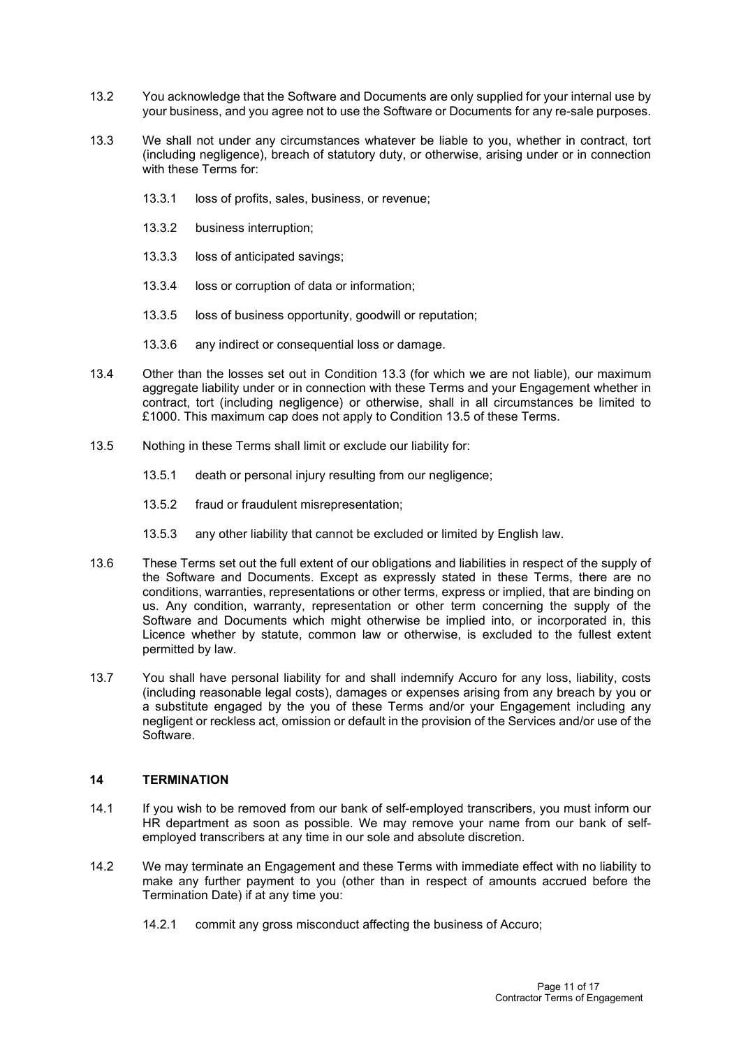- 13.2 You acknowledge that the Software and Documents are only supplied for your internal use by your business, and you agree not to use the Software or Documents for any re-sale purposes.
- 13.3 We shall not under any circumstances whatever be liable to you, whether in contract, tort (including negligence), breach of statutory duty, or otherwise, arising under or in connection with these Terms for:
	- 13.3.1 loss of profits, sales, business, or revenue;
	- 13.3.2 business interruption;
	- 13.3.3 loss of anticipated savings;
	- 13.3.4 loss or corruption of data or information;
	- 13.3.5 loss of business opportunity, goodwill or reputation;
	- 13.3.6 any indirect or consequential loss or damage.
- 13.4 Other than the losses set out in Condition 13.3 (for which we are not liable), our maximum aggregate liability under or in connection with these Terms and your Engagement whether in contract, tort (including negligence) or otherwise, shall in all circumstances be limited to £1000. This maximum cap does not apply to Condition 13.5 of these Terms.
- 13.5 Nothing in these Terms shall limit or exclude our liability for:
	- 13.5.1 death or personal injury resulting from our negligence;
	- 13.5.2 fraud or fraudulent misrepresentation;
	- 13.5.3 any other liability that cannot be excluded or limited by English law.
- 13.6 These Terms set out the full extent of our obligations and liabilities in respect of the supply of the Software and Documents. Except as expressly stated in these Terms, there are no conditions, warranties, representations or other terms, express or implied, that are binding on us. Any condition, warranty, representation or other term concerning the supply of the Software and Documents which might otherwise be implied into, or incorporated in, this Licence whether by statute, common law or otherwise, is excluded to the fullest extent permitted by law.
- 13.7 You shall have personal liability for and shall indemnify Accuro for any loss, liability, costs (including reasonable legal costs), damages or expenses arising from any breach by you or a substitute engaged by the you of these Terms and/or your Engagement including any negligent or reckless act, omission or default in the provision of the Services and/or use of the Software.

## **14 TERMINATION**

- 14.1 If you wish to be removed from our bank of self-employed transcribers, you must inform our HR department as soon as possible. We may remove your name from our bank of selfemployed transcribers at any time in our sole and absolute discretion.
- 14.2 We may terminate an Engagement and these Terms with immediate effect with no liability to make any further payment to you (other than in respect of amounts accrued before the Termination Date) if at any time you:
	- 14.2.1 commit any gross misconduct affecting the business of Accuro;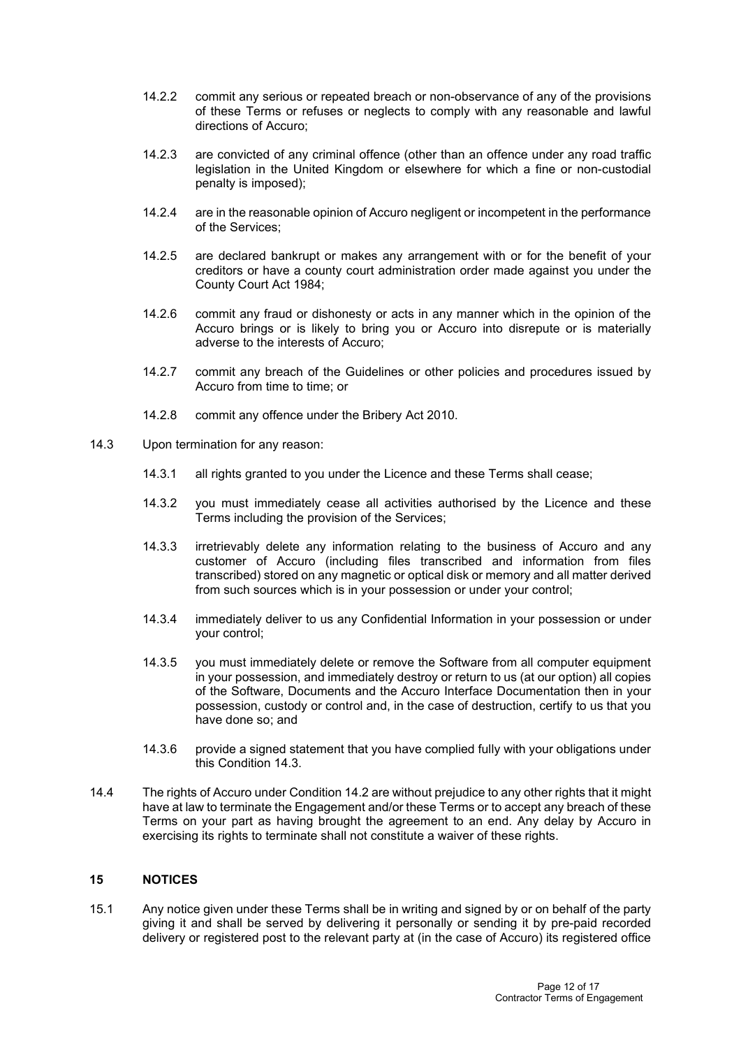- 14.2.2 commit any serious or repeated breach or non-observance of any of the provisions of these Terms or refuses or neglects to comply with any reasonable and lawful directions of Accuro;
- 14.2.3 are convicted of any criminal offence (other than an offence under any road traffic legislation in the United Kingdom or elsewhere for which a fine or non-custodial penalty is imposed);
- 14.2.4 are in the reasonable opinion of Accuro negligent or incompetent in the performance of the Services;
- 14.2.5 are declared bankrupt or makes any arrangement with or for the benefit of your creditors or have a county court administration order made against you under the County Court Act 1984;
- 14.2.6 commit any fraud or dishonesty or acts in any manner which in the opinion of the Accuro brings or is likely to bring you or Accuro into disrepute or is materially adverse to the interests of Accuro;
- 14.2.7 commit any breach of the Guidelines or other policies and procedures issued by Accuro from time to time; or
- 14.2.8 commit any offence under the Bribery Act 2010.
- 14.3 Upon termination for any reason:
	- 14.3.1 all rights granted to you under the Licence and these Terms shall cease;
	- 14.3.2 you must immediately cease all activities authorised by the Licence and these Terms including the provision of the Services;
	- 14.3.3 irretrievably delete any information relating to the business of Accuro and any customer of Accuro (including files transcribed and information from files transcribed) stored on any magnetic or optical disk or memory and all matter derived from such sources which is in your possession or under your control;
	- 14.3.4 immediately deliver to us any Confidential Information in your possession or under your control;
	- 14.3.5 you must immediately delete or remove the Software from all computer equipment in your possession, and immediately destroy or return to us (at our option) all copies of the Software, Documents and the Accuro Interface Documentation then in your possession, custody or control and, in the case of destruction, certify to us that you have done so; and
	- 14.3.6 provide a signed statement that you have complied fully with your obligations under this Condition 14.3.
- 14.4 The rights of Accuro under Condition 14.2 are without prejudice to any other rights that it might have at law to terminate the Engagement and/or these Terms or to accept any breach of these Terms on your part as having brought the agreement to an end. Any delay by Accuro in exercising its rights to terminate shall not constitute a waiver of these rights.

## **15 NOTICES**

15.1 Any notice given under these Terms shall be in writing and signed by or on behalf of the party giving it and shall be served by delivering it personally or sending it by pre-paid recorded delivery or registered post to the relevant party at (in the case of Accuro) its registered office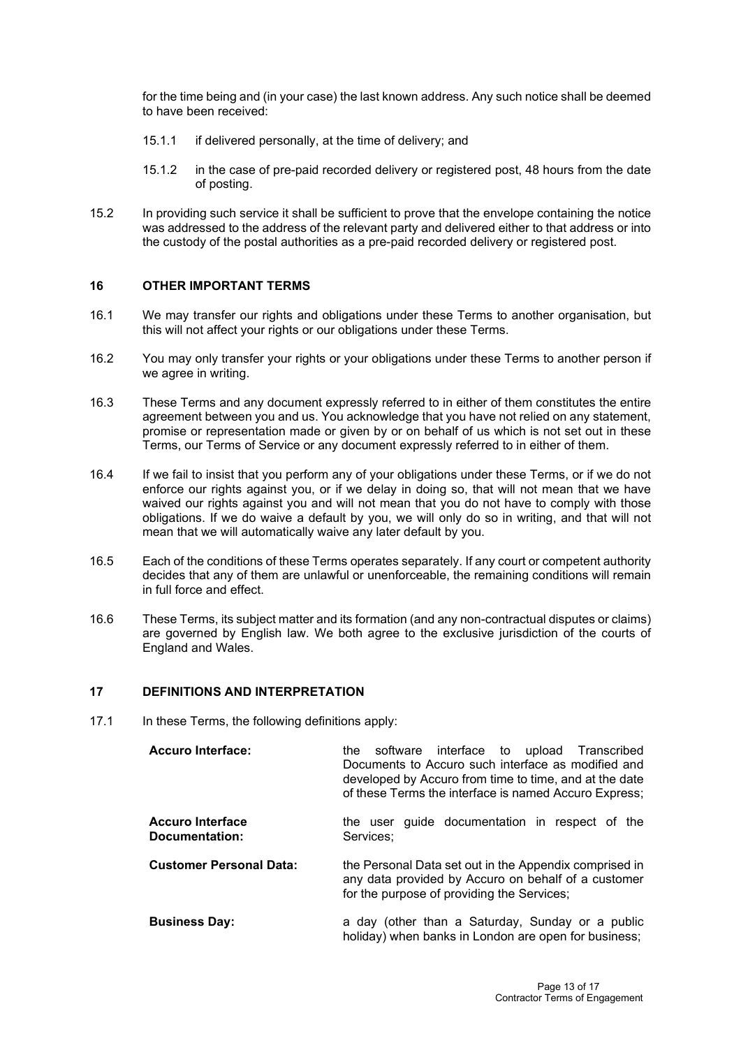for the time being and (in your case) the last known address. Any such notice shall be deemed to have been received:

- 15.1.1 if delivered personally, at the time of delivery; and
- 15.1.2 in the case of pre-paid recorded delivery or registered post, 48 hours from the date of posting.
- 15.2 In providing such service it shall be sufficient to prove that the envelope containing the notice was addressed to the address of the relevant party and delivered either to that address or into the custody of the postal authorities as a pre-paid recorded delivery or registered post.

## **16 OTHER IMPORTANT TERMS**

- 16.1 We may transfer our rights and obligations under these Terms to another organisation, but this will not affect your rights or our obligations under these Terms.
- 16.2 You may only transfer your rights or your obligations under these Terms to another person if we agree in writing.
- 16.3 These Terms and any document expressly referred to in either of them constitutes the entire agreement between you and us. You acknowledge that you have not relied on any statement, promise or representation made or given by or on behalf of us which is not set out in these Terms, our Terms of Service or any document expressly referred to in either of them.
- 16.4 If we fail to insist that you perform any of your obligations under these Terms, or if we do not enforce our rights against you, or if we delay in doing so, that will not mean that we have waived our rights against you and will not mean that you do not have to comply with those obligations. If we do waive a default by you, we will only do so in writing, and that will not mean that we will automatically waive any later default by you.
- 16.5 Each of the conditions of these Terms operates separately. If any court or competent authority decides that any of them are unlawful or unenforceable, the remaining conditions will remain in full force and effect.
- 16.6 These Terms, its subject matter and its formation (and any non-contractual disputes or claims) are governed by English law. We both agree to the exclusive jurisdiction of the courts of England and Wales.

#### **17 DEFINITIONS AND INTERPRETATION**

17.1 In these Terms, the following definitions apply:

| <b>Accuro Interface:</b>                  | software interface to upload Transcribed<br>the<br>Documents to Accuro such interface as modified and<br>developed by Accuro from time to time, and at the date<br>of these Terms the interface is named Accuro Express; |
|-------------------------------------------|--------------------------------------------------------------------------------------------------------------------------------------------------------------------------------------------------------------------------|
| <b>Accuro Interface</b><br>Documentation: | the user guide documentation in respect of the<br>Services;                                                                                                                                                              |
| <b>Customer Personal Data:</b>            | the Personal Data set out in the Appendix comprised in<br>any data provided by Accuro on behalf of a customer<br>for the purpose of providing the Services;                                                              |
| <b>Business Day:</b>                      | a day (other than a Saturday, Sunday or a public<br>holiday) when banks in London are open for business;                                                                                                                 |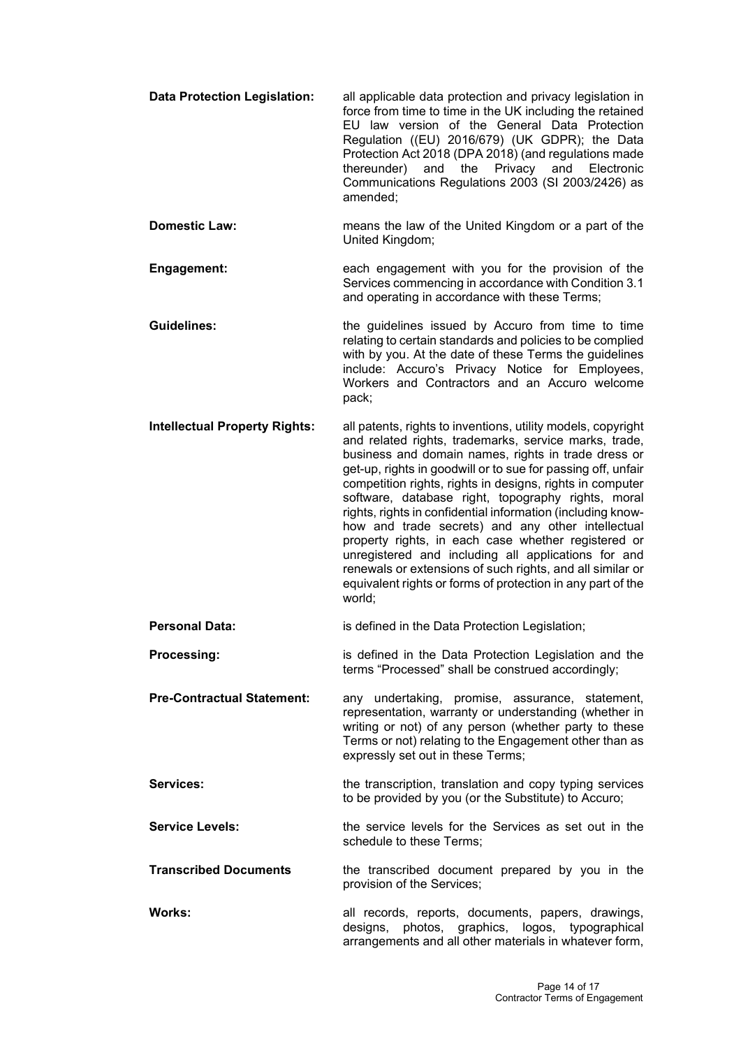- **Data Protection Legislation:** all applicable data protection and privacy legislation in force from time to time in the UK including the retained EU law version of the General Data Protection Regulation ((EU) 2016/679) (UK GDPR); the Data Protection Act 2018 (DPA 2018) (and regulations made the Privacy and Electronic Communications Regulations 2003 (SI 2003/2426) as amended;
- **Domestic Law:** means the law of the United Kingdom or a part of the United Kingdom;
- **Engagement:** each engagement with you for the provision of the Services commencing in accordance with Condition 3.1 and operating in accordance with these Terms;

**Guidelines:** the guidelines issued by Accuro from time to time relating to certain standards and policies to be complied with by you. At the date of these Terms the guidelines include: Accuro's Privacy Notice for Employees, Workers and Contractors and an Accuro welcome pack;

- **Intellectual Property Rights:** all patents, rights to inventions, utility models, copyright and related rights, trademarks, service marks, trade, business and domain names, rights in trade dress or get-up, rights in goodwill or to sue for passing off, unfair competition rights, rights in designs, rights in computer software, database right, topography rights, moral rights, rights in confidential information (including knowhow and trade secrets) and any other intellectual property rights, in each case whether registered or unregistered and including all applications for and renewals or extensions of such rights, and all similar or equivalent rights or forms of protection in any part of the world;
- **Personal Data:** is defined in the Data Protection Legislation;
- **Processing: is defined in the Data Protection Legislation and the** terms "Processed" shall be construed accordingly;

**Pre-Contractual Statement:** any undertaking, promise, assurance, statement, representation, warranty or understanding (whether in writing or not) of any person (whether party to these Terms or not) relating to the Engagement other than as expressly set out in these Terms;

**Services:** the transcription, translation and copy typing services to be provided by you (or the Substitute) to Accuro;

**Service Levels:** the service levels for the Services as set out in the schedule to these Terms;

**Transcribed Documents** the transcribed document prepared by you in the provision of the Services;

**Works:** all records, reports, documents, papers, drawings, designs, photos, graphics, logos, typographical arrangements and all other materials in whatever form,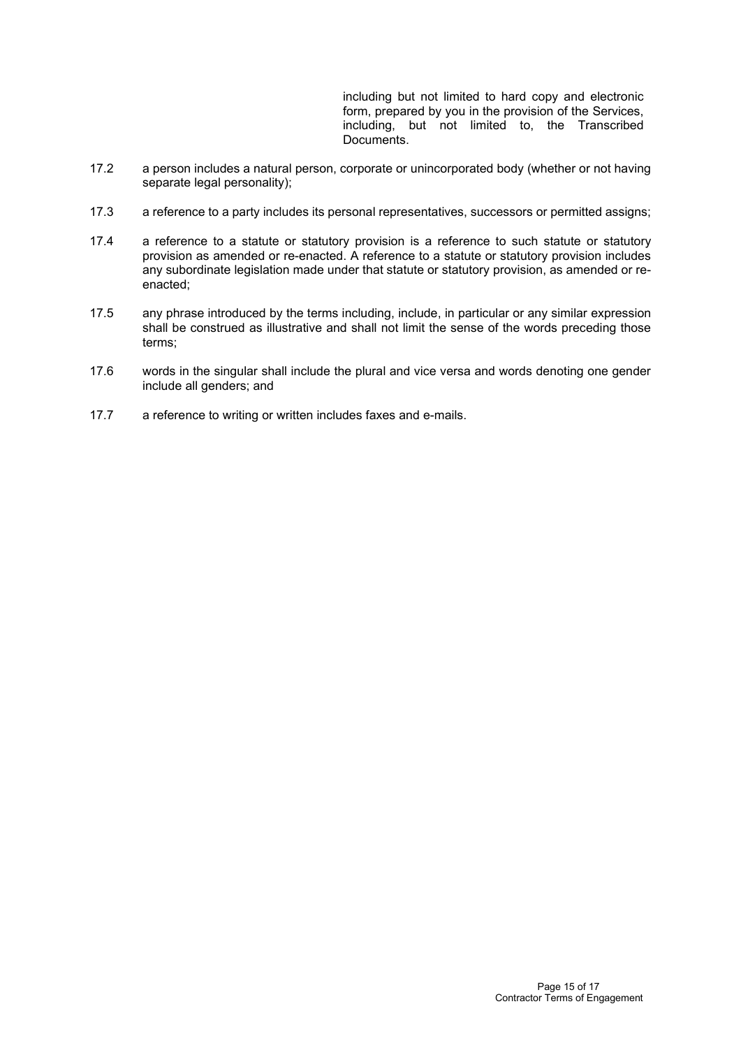including but not limited to hard copy and electronic form, prepared by you in the provision of the Services, including, but not limited to, the Transcribed Documents.

- 17.2 a person includes a natural person, corporate or unincorporated body (whether or not having separate legal personality);
- 17.3 a reference to a party includes its personal representatives, successors or permitted assigns;
- 17.4 a reference to a statute or statutory provision is a reference to such statute or statutory provision as amended or re-enacted. A reference to a statute or statutory provision includes any subordinate legislation made under that statute or statutory provision, as amended or reenacted;
- 17.5 any phrase introduced by the terms including, include, in particular or any similar expression shall be construed as illustrative and shall not limit the sense of the words preceding those terms;
- 17.6 words in the singular shall include the plural and vice versa and words denoting one gender include all genders; and
- 17.7 a reference to writing or written includes faxes and e-mails.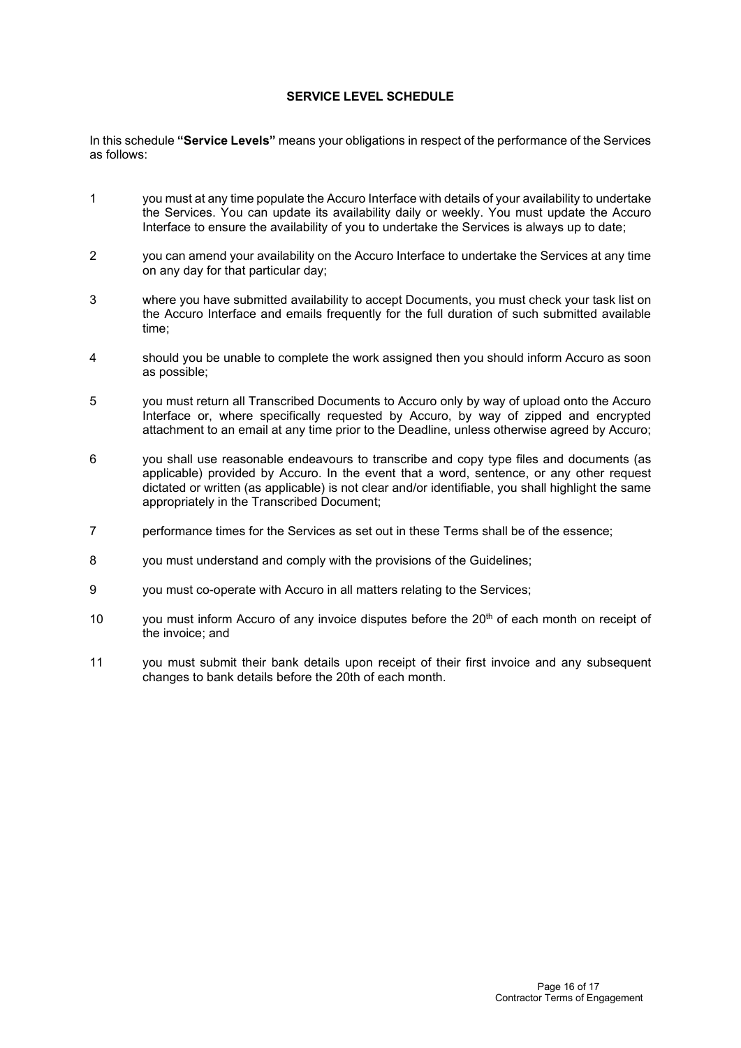## **SERVICE LEVEL SCHEDULE**

In this schedule **"Service Levels"** means your obligations in respect of the performance of the Services as follows:

- 1 you must at any time populate the Accuro Interface with details of your availability to undertake the Services. You can update its availability daily or weekly. You must update the Accuro Interface to ensure the availability of you to undertake the Services is always up to date;
- 2 you can amend your availability on the Accuro Interface to undertake the Services at any time on any day for that particular day;
- 3 where you have submitted availability to accept Documents, you must check your task list on the Accuro Interface and emails frequently for the full duration of such submitted available time;
- 4 should you be unable to complete the work assigned then you should inform Accuro as soon as possible;
- 5 you must return all Transcribed Documents to Accuro only by way of upload onto the Accuro Interface or, where specifically requested by Accuro, by way of zipped and encrypted attachment to an email at any time prior to the Deadline, unless otherwise agreed by Accuro;
- 6 you shall use reasonable endeavours to transcribe and copy type files and documents (as applicable) provided by Accuro. In the event that a word, sentence, or any other request dictated or written (as applicable) is not clear and/or identifiable, you shall highlight the same appropriately in the Transcribed Document;
- 7 performance times for the Services as set out in these Terms shall be of the essence;
- 8 you must understand and comply with the provisions of the Guidelines;
- 9 you must co-operate with Accuro in all matters relating to the Services;
- 10 you must inform Accuro of any invoice disputes before the 20<sup>th</sup> of each month on receipt of the invoice; and
- 11 you must submit their bank details upon receipt of their first invoice and any subsequent changes to bank details before the 20th of each month.